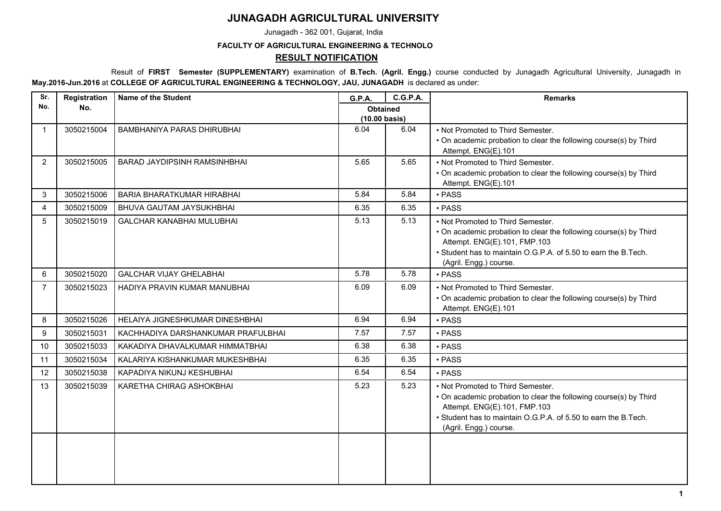## **JUNAGADH AGRICULTURAL UNIVERSITY**

Junagadh - 362 001, Gujarat, India

## **FACULTY OF AGRICULTURAL ENGINEERING & TECHNOLO**

## **RESULT NOTIFICATION**

 Result of **FIRST Semester (SUPPLEMENTARY)** examination of **B.Tech. (Agril. Engg.)** course conducted by Junagadh Agricultural University, Junagadh in **May.2016-Jun.2016** at **COLLEGE OF AGRICULTURAL ENGINEERING & TECHNOLOGY, JAU, JUNAGADH** is declared as under:

| Sr.            | Registration | <b>Name of the Student</b>          | <b>G.P.A.</b>                    | <b>C.G.P.A.</b> | <b>Remarks</b>                                                                                                                                                                                                                     |
|----------------|--------------|-------------------------------------|----------------------------------|-----------------|------------------------------------------------------------------------------------------------------------------------------------------------------------------------------------------------------------------------------------|
| No.            | No.          |                                     | <b>Obtained</b><br>(10.00 basis) |                 |                                                                                                                                                                                                                                    |
|                | 3050215004   | BAMBHANIYA PARAS DHIRUBHAI          | 6.04                             | 6.04            | • Not Promoted to Third Semester.<br>• On academic probation to clear the following course(s) by Third<br>Attempt. ENG(E).101                                                                                                      |
| 2              | 3050215005   | <b>BARAD JAYDIPSINH RAMSINHBHAI</b> | 5.65                             | 5.65            | • Not Promoted to Third Semester.<br>• On academic probation to clear the following course(s) by Third<br>Attempt. ENG(E).101                                                                                                      |
| 3              | 3050215006   | <b>BARIA BHARATKUMAR HIRABHAI</b>   | 5.84                             | 5.84            | · PASS                                                                                                                                                                                                                             |
| 4              | 3050215009   | BHUVA GAUTAM JAYSUKHBHAI            | 6.35                             | 6.35            | • PASS                                                                                                                                                                                                                             |
| 5              | 3050215019   | <b>GALCHAR KANABHAI MULUBHAI</b>    | 5.13                             | 5.13            | • Not Promoted to Third Semester.<br>• On academic probation to clear the following course(s) by Third<br>Attempt. ENG(E).101, FMP.103<br>• Student has to maintain O.G.P.A. of 5.50 to earn the B.Tech.<br>(Agril. Engg.) course. |
| 6              | 3050215020   | <b>GALCHAR VIJAY GHELABHAI</b>      | 5.78                             | 5.78            | • PASS                                                                                                                                                                                                                             |
| $\overline{7}$ | 3050215023   | HADIYA PRAVIN KUMAR MANUBHAI        | 6.09                             | 6.09            | • Not Promoted to Third Semester.<br>. On academic probation to clear the following course(s) by Third<br>Attempt. ENG(E).101                                                                                                      |
| 8              | 3050215026   | HELAIYA JIGNESHKUMAR DINESHBHAI     | 6.94                             | 6.94            | • PASS                                                                                                                                                                                                                             |
| 9              | 3050215031   | KACHHADIYA DARSHANKUMAR PRAFULBHAI  | 7.57                             | 7.57            | • PASS                                                                                                                                                                                                                             |
| 10             | 3050215033   | KAKADIYA DHAVALKUMAR HIMMATBHAI     | 6.38                             | 6.38            | · PASS                                                                                                                                                                                                                             |
| 11             | 3050215034   | KALARIYA KISHANKUMAR MUKESHBHAI     | 6.35                             | 6.35            | $\cdot$ PASS                                                                                                                                                                                                                       |
| 12             | 3050215038   | KAPADIYA NIKUNJ KESHUBHAI           | 6.54                             | 6.54            | • PASS                                                                                                                                                                                                                             |
| 13             | 3050215039   | KARETHA CHIRAG ASHOKBHAI            | 5.23                             | 5.23            | • Not Promoted to Third Semester.<br>• On academic probation to clear the following course(s) by Third<br>Attempt. ENG(E).101, FMP.103<br>• Student has to maintain O.G.P.A. of 5.50 to earn the B.Tech.<br>(Agril. Engg.) course. |
|                |              |                                     |                                  |                 |                                                                                                                                                                                                                                    |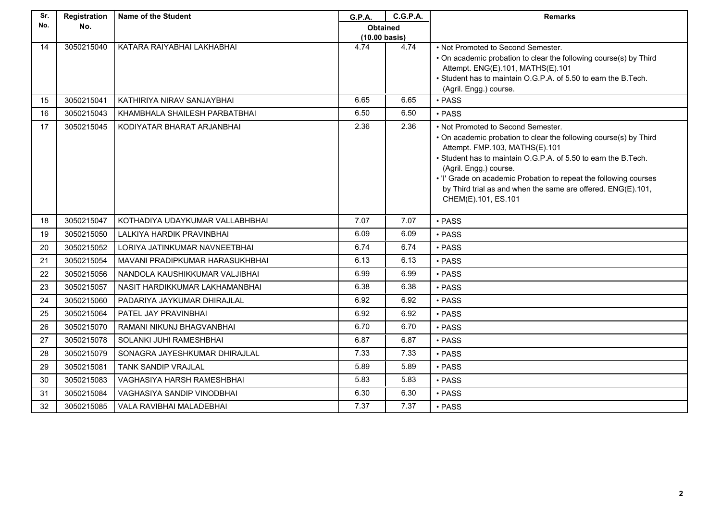| Sr. | Registration | <b>Name of the Student</b>      | <b>G.P.A.</b>                    | <b>C.G.P.A.</b> | <b>Remarks</b>                                                                                                                                                                                                                                                                                                                                                                                    |
|-----|--------------|---------------------------------|----------------------------------|-----------------|---------------------------------------------------------------------------------------------------------------------------------------------------------------------------------------------------------------------------------------------------------------------------------------------------------------------------------------------------------------------------------------------------|
| No. | No.          |                                 | <b>Obtained</b><br>(10.00 basis) |                 |                                                                                                                                                                                                                                                                                                                                                                                                   |
| 14  | 3050215040   | KATARA RAIYABHAI LAKHABHAI      | 4.74                             | 4.74            | • Not Promoted to Second Semester.<br>• On academic probation to clear the following course(s) by Third<br>Attempt. ENG(E).101, MATHS(E).101<br>• Student has to maintain O.G.P.A. of 5.50 to earn the B.Tech.<br>(Agril. Engg.) course.                                                                                                                                                          |
| 15  | 3050215041   | KATHIRIYA NIRAV SANJAYBHAI      | 6.65                             | 6.65            | • PASS                                                                                                                                                                                                                                                                                                                                                                                            |
| 16  | 3050215043   | KHAMBHALA SHAILESH PARBATBHAI   | 6.50                             | 6.50            | • PASS                                                                                                                                                                                                                                                                                                                                                                                            |
| 17  | 3050215045   | KODIYATAR BHARAT ARJANBHAI      | 2.36                             | 2.36            | • Not Promoted to Second Semester.<br>• On academic probation to clear the following course(s) by Third<br>Attempt. FMP.103, MATHS(E).101<br>• Student has to maintain O.G.P.A. of 5.50 to earn the B.Tech.<br>(Agril. Engg.) course.<br>. 'I' Grade on academic Probation to repeat the following courses<br>by Third trial as and when the same are offered. ENG(E).101,<br>CHEM(E).101, ES.101 |
| 18  | 3050215047   | KOTHADIYA UDAYKUMAR VALLABHBHAI | 7.07                             | 7.07            | • PASS                                                                                                                                                                                                                                                                                                                                                                                            |
| 19  | 3050215050   | LALKIYA HARDIK PRAVINBHAI       | 6.09                             | 6.09            | • PASS                                                                                                                                                                                                                                                                                                                                                                                            |
| 20  | 3050215052   | LORIYA JATINKUMAR NAVNEETBHAI   | 6.74                             | 6.74            | • PASS                                                                                                                                                                                                                                                                                                                                                                                            |
| 21  | 3050215054   | MAVANI PRADIPKUMAR HARASUKHBHAI | 6.13                             | 6.13            | • PASS                                                                                                                                                                                                                                                                                                                                                                                            |
| 22  | 3050215056   | NANDOLA KAUSHIKKUMAR VALJIBHAI  | 6.99                             | 6.99            | • PASS                                                                                                                                                                                                                                                                                                                                                                                            |
| 23  | 3050215057   | NASIT HARDIKKUMAR LAKHAMANBHAI  | 6.38                             | 6.38            | • PASS                                                                                                                                                                                                                                                                                                                                                                                            |
| 24  | 3050215060   | PADARIYA JAYKUMAR DHIRAJLAL     | 6.92                             | 6.92            | • PASS                                                                                                                                                                                                                                                                                                                                                                                            |
| 25  | 3050215064   | PATEL JAY PRAVINBHAI            | 6.92                             | 6.92            | • PASS                                                                                                                                                                                                                                                                                                                                                                                            |
| 26  | 3050215070   | RAMANI NIKUNJ BHAGVANBHAI       | 6.70                             | 6.70            | • PASS                                                                                                                                                                                                                                                                                                                                                                                            |
| 27  | 3050215078   | SOLANKI JUHI RAMESHBHAI         | 6.87                             | 6.87            | • PASS                                                                                                                                                                                                                                                                                                                                                                                            |
| 28  | 3050215079   | SONAGRA JAYESHKUMAR DHIRAJLAL   | 7.33                             | 7.33            | • PASS                                                                                                                                                                                                                                                                                                                                                                                            |
| 29  | 3050215081   | TANK SANDIP VRAJLAL             | 5.89                             | 5.89            | • PASS                                                                                                                                                                                                                                                                                                                                                                                            |
| 30  | 3050215083   | VAGHASIYA HARSH RAMESHBHAI      | 5.83                             | 5.83            | • PASS                                                                                                                                                                                                                                                                                                                                                                                            |
| 31  | 3050215084   | VAGHASIYA SANDIP VINODBHAI      | 6.30                             | 6.30            | • PASS                                                                                                                                                                                                                                                                                                                                                                                            |
| 32  | 3050215085   | VALA RAVIBHAI MALADEBHAI        | 7.37                             | 7.37            | • PASS                                                                                                                                                                                                                                                                                                                                                                                            |